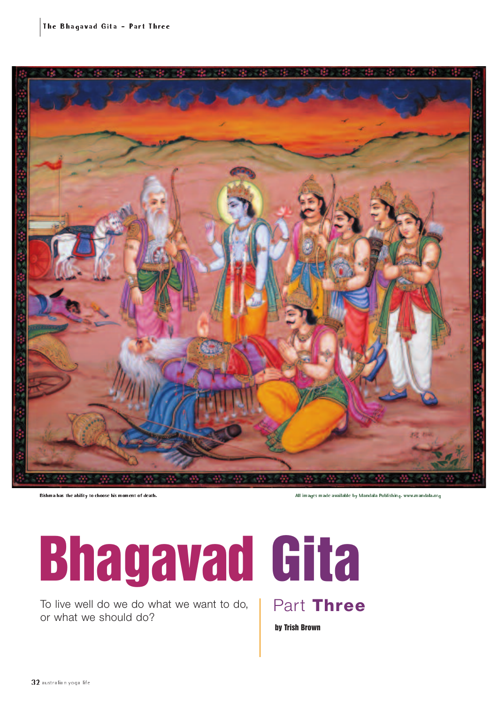

Bishma has the ability to choose his moment of death. All images made available by Mandala Publishing. www.mandala.org

# **Bhagavad Gita**

To live well do we do what we want to do, or what we should do?



**by Trish Brown**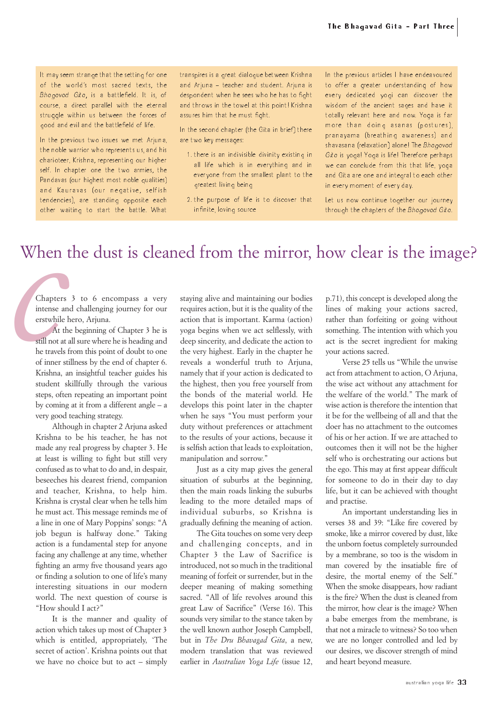It may seem strange that the setting for one of the world's most sacred texts, the Bhagavad Gita, is a battlefield. It is, of course, a direct parallel with the eternal struggle within us between the forces of good and evil and the battlefield of life.

In the previous two issues we met Arjuna, the noble warrior who represents us, and his charioteer, Krishna, representing our higher self. In chapter one the two armies, the Pandavas (our highest most noble qualities) and Kauravas (our negative, selfish tendencies), are standing opposite each other waiting to start the battle. What transpires is a great dialogue between Krishna and Ariuna – teacher and student. Ariuna is despondent when he sees who he has to fight and throws in the towel at this point! Krishna assures him that he must fight.

In the second chapter (the Gita in brief) there are two key messages:

- 1. there is an indivisible divinity existing in all life which is in everything and in everyone from the smallest plant to the greatest living being
- 2. the purpose of life is to discover that infinite, loving source

In the previous articles I have endeavoured to offer a greater understanding of how every dedicated yogi can discover the wisdom of the ancient sages and have it totally relevant here and now. Yoga is far more than doing asanas (postures), pranayama (breathing awareness) and shavasana (relaxation) alone! The Bhagavad Gita is yoga! Yoga is life! Therefore perhaps we can conclude from this that life, yoga and Gita are one and integral to each other in every moment of every day.

Let us now continue together our journey through the chapters of the Bhagavad Gita.

### When the dust is cleaned from the mirror, how clear is the image?

Chapters 3 to 6 encompass a very intense and challenging journey for our erstwhile hero, Arjuna.

*chapters*<br> *chapters*<br>
intense a<br>
erstwhile<br>
At t<br>
still not at<br>
he travels<br>
of inner s At the beginning of Chapter 3 he is still not at all sure where he is heading and he travels from this point of doubt to one of inner stillness by the end of chapter 6. Krishna, an insightful teacher guides his student skillfully through the various steps, often repeating an important point by coming at it from a different angle – a very good teaching strategy.

> Although in chapter 2 Arjuna asked Krishna to be his teacher, he has not made any real progress by chapter 3. He at least is willing to fight but still very confused as to what to do and, in despair, beseeches his dearest friend, companion and teacher, Krishna, to help him. Krishna is crystal clear when he tells him he must act. This message reminds me of a line in one of Mary Poppins' songs: "A job begun is halfway done." Taking action is a fundamental step for anyone facing any challenge at any time, whether fighting an army five thousand years ago or finding a solution to one of life's many interesting situations in our modern world. The next question of course is "How should I act?"

> It is the manner and quality of action which takes up most of Chapter 3 which is entitled, appropriately, 'The secret of action'. Krishna points out that we have no choice but to act – simply

staying alive and maintaining our bodies requires action, but it is the quality of the action that is important. Karma (action) yoga begins when we act selflessly, with deep sincerity, and dedicate the action to the very highest. Early in the chapter he reveals a wonderful truth to Arjuna, namely that if your action is dedicated to the highest, then you free yourself from the bonds of the material world. He develops this point later in the chapter when he says "You must perform your duty without preferences or attachment to the results of your actions, because it is selfish action that leads to exploitation, manipulation and sorrow."

Just as a city map gives the general situation of suburbs at the beginning, then the main roads linking the suburbs leading to the more detailed maps of individual suburbs, so Krishna is gradually defining the meaning of action.

The Gita touches on some very deep and challenging concepts, and in Chapter 3 the Law of Sacrifice is introduced, not so much in the traditional meaning of forfeit or surrender, but in the deeper meaning of making something sacred. "All of life revolves around this great Law of Sacrifice" (Verse 16). This sounds very similar to the stance taken by the well known author Joseph Campbell, but in *The Dru Bhavagad Gita*, a new, modern translation that was reviewed earlier in *Australian Yoga Life* (issue 12,

p.71), this concept is developed along the lines of making your actions sacred, rather than forfeiting or going without something. The intention with which you act is the secret ingredient for making your actions sacred.

Verse 25 tells us "While the unwise act from attachment to action, O Arjuna, the wise act without any attachment for the welfare of the world." The mark of wise action is therefore the intention that it be for the wellbeing of all and that the doer has no attachment to the outcomes of his or her action. If we are attached to outcomes then it will not be the higher self who is orchestrating our actions but the ego. This may at first appear difficult for someone to do in their day to day life, but it can be achieved with thought and practise.

An important understanding lies in verses 38 and 39: "Like fire covered by smoke, like a mirror covered by dust, like the unborn foetus completely surrounded by a membrane, so too is the wisdom in man covered by the insatiable fire of desire, the mortal enemy of the Self." When the smoke disappears, how radiant is the fire? When the dust is cleaned from the mirror, how clear is the image? When a babe emerges from the membrane, is that not a miracle to witness? So too when we are no longer controlled and led by our desires, we discover strength of mind and heart beyond measure.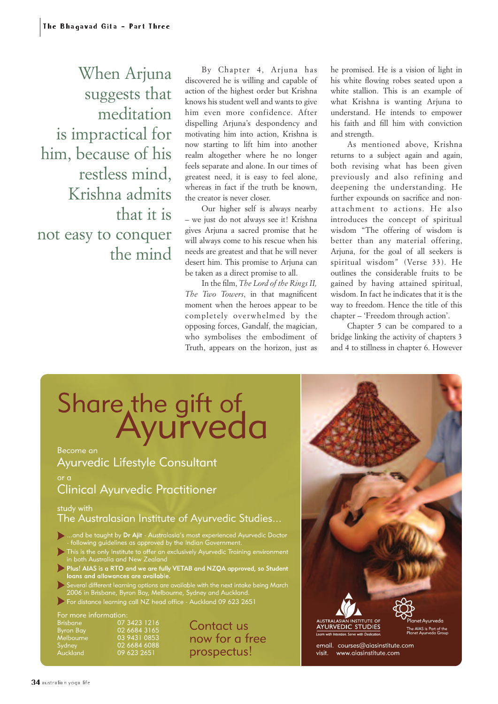When Arjuna suggests that meditation is impractical for him, because of his restless mind, Krishna admits that it is not easy to conquer the mind

By Chapter 4, Arjuna has discovered he is willing and capable of action of the highest order but Krishna knows his student well and wants to give him even more confidence. After dispelling Arjuna's despondency and motivating him into action, Krishna is now starting to lift him into another realm altogether where he no longer feels separate and alone. In our times of greatest need, it is easy to feel alone, whereas in fact if the truth be known, the creator is never closer.

Our higher self is always nearby – we just do not always see it! Krishna gives Arjuna a sacred promise that he will always come to his rescue when his needs are greatest and that he will never desert him. This promise to Arjuna can be taken as a direct promise to all.

In the film, *The Lord of the Rings II, The Two Towers*, in that magnificent moment when the heroes appear to be completely overwhelmed by the opposing forces, Gandalf, the magician, who symbolises the embodiment of Truth, appears on the horizon, just as

he promised. He is a vision of light in his white flowing robes seated upon a white stallion. This is an example of what Krishna is wanting Arjuna to understand. He intends to empower his faith and fill him with conviction and strength.

As mentioned above, Krishna returns to a subject again and again, both revising what has been given previously and also refining and deepening the understanding. He further expounds on sacrifice and nonattachment to actions. He also introduces the concept of spiritual wisdom "The offering of wisdom is better than any material offering, Arjuna, for the goal of all seekers is spiritual wisdom" (Verse 33). He outlines the considerable fruits to be gained by having attained spiritual, wisdom. In fact he indicates that it is the way to freedom. Hence the title of this chapter – 'Freedom through action'.

Chapter 5 can be compared to a bridge linking the activity of chapters 3 and 4 to stillness in chapter 6. However

# Share the gift of<br>Ayurveda

## Ayurvedic Lifestyle Consultant

### **Clinical Ayurvedic Practitioner**

study with

The Australasian Institute of Ayurvedic Studies...

- ... and be taught by **Dr Ajit** Australasia's most experienced Ayurvedic Doctor<br>- following guidelines as approved by the Indian Government.
- This is the only Institute to offer an exclusively Ayurvedic Training environment<br>in both Australia and New Zealand
- Plus! AIAS is a RTO and we are fully VETAB and NZQA approved, so Student<br>loans and allowances are available.
- Several different learning options are available with the next intake being March<br>2006 in Brisbane, Byron Bay, Melbourne, Sydney and Auckland.
- For distance learning call NZ head office Auckland 09 623 2651

For more information<br>Brisbane 07 001.<br>07 3423 1216<br>02 6684 3165<br>03 9431 0853<br>02 6684 6088 **Byron Bay**<br>Melbourne Sydney Áuckland 09 623 2651

Contact us now for a free prospectus!

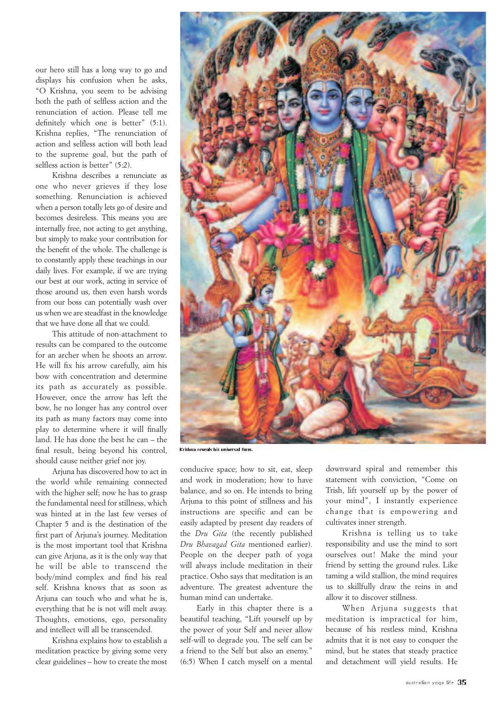our hero still has a long way to go and displays his confusion when he asks, "O Krishna, you seem to be advising both the path of selfless action and the renunciation of action. Please tell me definitely which one is better" (5:1). Krishna replies, "The renunciation of action and selfless action will both lead to the supreme goal, but the path of selfless action is better" (5:2).

Krishna describes a renunciate as one who never grieves if they lose something. Renunciation is achieved when a person totally lets go of desire and becomes desireless. This means you are internally free, not acting to get anything, but simply to make your contribution for the benefit of the whole. The challenge is to constantly apply these teachings in our daily lives. For example, if we are trying our best at our work, acting in service of those around us, then even harsh words from our boss can potentially wash over us when we are steadfast in the knowledge that we have done all that we could.

This attitude of non-attachment to results can be compared to the outcome for an archer when he shoots an arrow. He will fix his arrow carefully, aim his bow with concentration and determine its path as accurately as possible. However, once the arrow has left the bow, he no longer has any control over its path as many factors may come into play to determine where it will finally land. He has done the best he can – the final result, being beyond his control, should cause neither grief nor joy.

Arjuna has discovered how to act in the world while remaining connected with the higher self; now he has to grasp the fundamental need for stillness, which was hinted at in the last few verses of Chapter 5 and is the destination of the first part of Arjuna's journey. Meditation is the most important tool that Krishna can give Arjuna, as it is the only way that he will be able to transcend the body/mind complex and find his real self. Krishna knows that as soon as Arjuna can touch who and what he is, everything that he is not will melt away. Thoughts, emotions, ego, personality and intellect will all be transcended.

Krishna explains how to establish a meditation practice by giving some very clear guidelines – how to create the most



Krishna reveals his universal form.

conducive space; how to sit, eat, sleep and work in moderation; how to have balance, and so on. He intends to bring Arjuna to this point of stillness and his instructions are specific and can be easily adapted by present day readers of the *Dru Gita* (the recently published *Dru Bhavagad Gita* mentioned earlier). People on the deeper path of yoga will always include meditation in their practice. Osho says that meditation is an adventure. The greatest adventure the human mind can undertake.

Early in this chapter there is a beautiful teaching, "Lift yourself up by the power of your Self and never allow self-will to degrade you. The self can be a friend to the Self but also an enemy." (6:5) When I catch myself on a mental

downward spiral and remember this statement with conviction, "Come on Trish, lift yourself up by the power of your mind", I instantly experience change that is empowering and cultivates inner strength.

Krishna is telling us to take responsibility and use the mind to sort ourselves out! Make the mind your friend by setting the ground rules. Like taming a wild stallion, the mind requires us to skillfully draw the reins in and allow it to discover stillness.

When Arjuna suggests that meditation is impractical for him, because of his restless mind, Krishna admits that it is not easy to conquer the mind, but he states that steady practice and detachment will yield results. He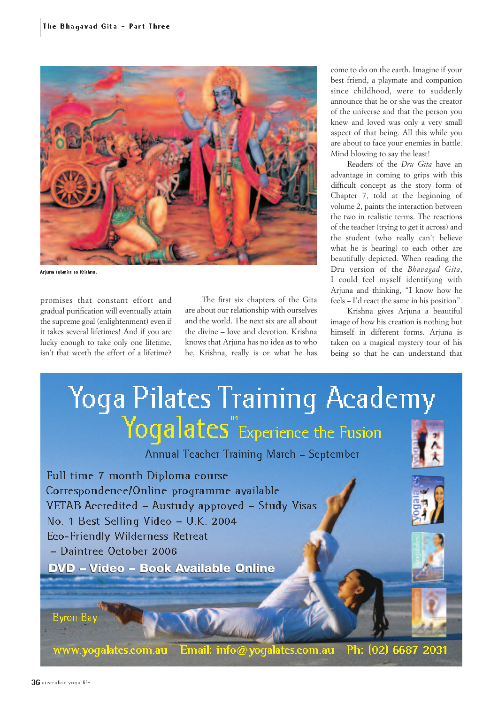

Arjuna submits to Krishna.

promises that constant effort and gradual purification will eventually attain the supreme goal (enlightenment) even if it takes several lifetimes! And if you are lucky enough to take only one lifetime, isn't that worth the effort of a lifetime?

The first six chapters of the Gita are about our relationship with ourselves and the world. The next six are all about the divine – love and devotion. Krishna knows that Arjuna has no idea as to who he, Krishna, really is or what he has come to do on the earth. Imagine if your best friend, a playmate and companion since childhood, were to suddenly announce that he or she was the creator of the universe and that the person you knew and loved was only a very small aspect of that being. All this while you are about to face your enemies in battle. Mind blowing to say the least!

Readers of the *Dru Gita* have an advantage in coming to grips with this difficult concept as the story form of Chapter 7, told at the beginning of volume 2, paints the interaction between the two in realistic terms. The reactions of the teacher (trying to get it across) and the student (who really can't believe what he is hearing) to each other are beautifully depicted. When reading the Dru version of the *Bhavagad Gita*, I could feel myself identifying with Arjuna and thinking, "I know how he feels – I'd react the same in his position".

Krishna gives Arjuna a beautiful image of how his creation is nothing but himself in different forms. Arjuna is taken on a magical mystery tour of his being so that he can understand that